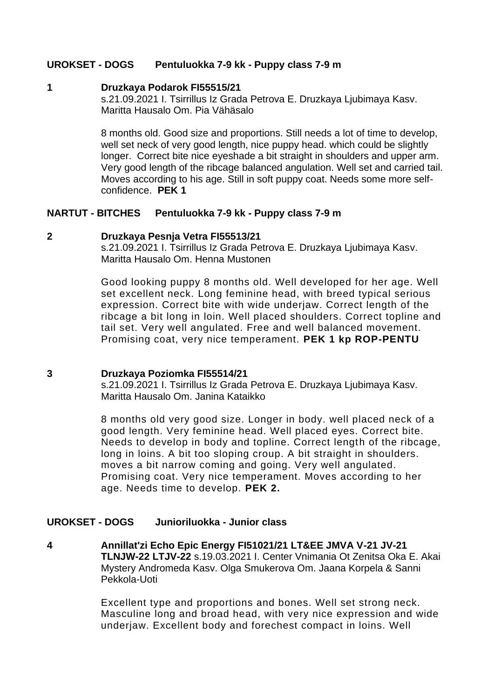### **UROKSET - DOGS Pentuluokka 7-9 kk - Puppy class 7-9 m**

### **1 Druzkaya Podarok FI55515/21**

s.21.09.2021 I. Tsirrillus Iz Grada Petrova E. Druzkaya Ljubimaya Kasv. Maritta Hausalo Om. Pia Vähäsalo

8 months old. Good size and proportions. Still needs a lot of time to develop, well set neck of very good length, nice puppy head. which could be slightly longer. Correct bite nice eyeshade a bit straight in shoulders and upper arm. Very good length of the ribcage balanced angulation. Well set and carried tail. Moves according to his age. Still in soft puppy coat. Needs some more selfconfidence. **PEK 1**

### **NARTUT - BITCHES Pentuluokka 7-9 kk - Puppy class 7-9 m**

#### **2 Druzkaya Pesnja Vetra FI55513/21**

s.21.09.2021 I. Tsirrillus Iz Grada Petrova E. Druzkaya Ljubimaya Kasv. Maritta Hausalo Om. Henna Mustonen

Good looking puppy 8 months old. Well developed for her age. Well set excellent neck. Long feminine head, with breed typical serious expression. Correct bite with wide underjaw. Correct length of the ribcage a bit long in loin. Well placed shoulders. Correct topline and tail set. Very well angulated. Free and well balanced movement. Promising coat, very nice temperament. **PEK 1 kp ROP-PENTU**

#### **3 Druzkaya Poziomka FI55514/21**

s.21.09.2021 I. Tsirrillus Iz Grada Petrova E. Druzkaya Ljubimaya Kasv. Maritta Hausalo Om. Janina Kataikko

8 months old very good size. Longer in body. well placed neck of a good length. Very feminine head. Well placed eyes. Correct bite. Needs to develop in body and topline. Correct length of the ribcage, long in loins. A bit too sloping croup. A bit straight in shoulders. moves a bit narrow coming and going. Very well angulated. Promising coat. Very nice temperament. Moves according to her age. Needs time to develop. **PEK 2.**

# **UROKSET - DOGS Junioriluokka - Junior class**

**4 Annillat'zi Echo Epic Energy FI51021/21 LT&EE JMVA V-21 JV-21 TLNJW-22 LTJV-22** s.19.03.2021 I. Center Vnimania Ot Zenitsa Oka E. Akai Mystery Andromeda Kasv. Olga Smukerova Om. Jaana Korpela & Sanni Pekkola-Uoti

> Excellent type and proportions and bones. Well set strong neck. Masculine long and broad head, with very nice expression and wide underjaw. Excellent body and forechest compact in loins. Well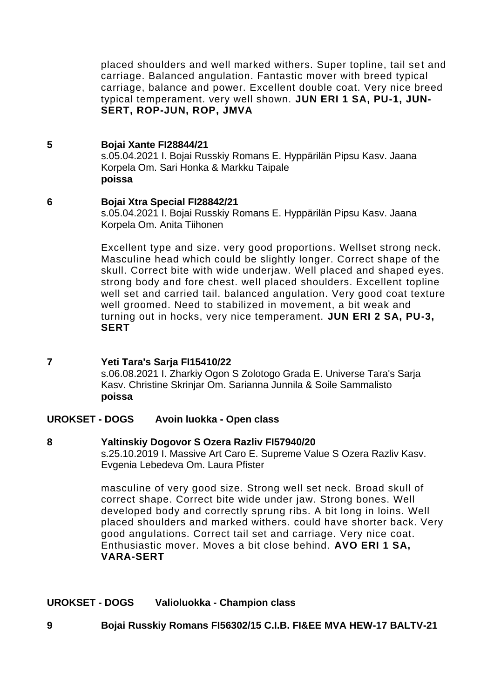placed shoulders and well marked withers. Super topline, tail set and carriage. Balanced angulation. Fantastic mover with breed typical carriage, balance and power. Excellent double coat. Very nice breed typical temperament. very well shown. **JUN ERI 1 SA, PU-1, JUN-SERT, ROP-JUN, ROP, JMVA**

## **5 Bojai Xante FI28844/21**

s.05.04.2021 I. Bojai Russkiy Romans E. Hyppärilän Pipsu Kasv. Jaana Korpela Om. Sari Honka & Markku Taipale **poissa**

## **6 Bojai Xtra Special FI28842/21**

s.05.04.2021 I. Bojai Russkiy Romans E. Hyppärilän Pipsu Kasv. Jaana Korpela Om. Anita Tiihonen

Excellent type and size. very good proportions. Wellset strong neck. Masculine head which could be slightly longer. Correct shape of the skull. Correct bite with wide underjaw. Well placed and shaped eyes. strong body and fore chest. well placed shoulders. Excellent topline well set and carried tail. balanced angulation. Very good coat texture well groomed. Need to stabilized in movement, a bit weak and turning out in hocks, very nice temperament. **JUN ERI 2 SA, PU-3, SERT**

### **7 Yeti Tara's Sarja FI15410/22**

s.06.08.2021 I. Zharkiy Ogon S Zolotogo Grada E. Universe Tara's Sarja Kasv. Christine Skrinjar Om. Sarianna Junnila & Soile Sammalisto **poissa**

### **UROKSET - DOGS Avoin luokka - Open class**

### **8 Yaltinskiy Dogovor S Ozera Razliv FI57940/20**

s.25.10.2019 I. Massive Art Caro E. Supreme Value S Ozera Razliv Kasv. Evgenia Lebedeva Om. Laura Pfister

masculine of very good size. Strong well set neck. Broad skull of correct shape. Correct bite wide under jaw. Strong bones. Well developed body and correctly sprung ribs. A bit long in loins. Well placed shoulders and marked withers. could have shorter back. Very good angulations. Correct tail set and carriage. Very nice coat. Enthusiastic mover. Moves a bit close behind. **AVO ERI 1 SA, VARA-SERT**

# **UROKSET - DOGS Valioluokka - Champion class**

# **9 Bojai Russkiy Romans FI56302/15 C.I.B. FI&EE MVA HEW-17 BALTV-21**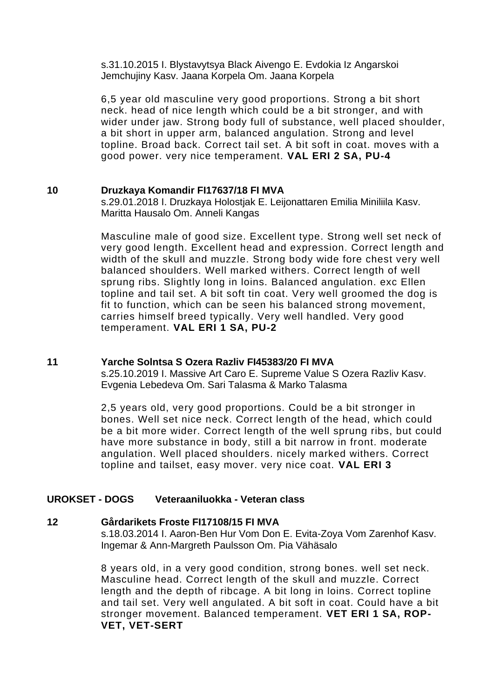s.31.10.2015 I. Blystavytsya Black Aivengo E. Evdokia Iz Angarskoi Jemchujiny Kasv. Jaana Korpela Om. Jaana Korpela

6,5 year old masculine very good proportions. Strong a bit short neck. head of nice length which could be a bit stronger, and with wider under jaw. Strong body full of substance, well placed shoulder, a bit short in upper arm, balanced angulation. Strong and level topline. Broad back. Correct tail set. A bit soft in coat. moves with a good power. very nice temperament. **VAL ERI 2 SA, PU-4**

### **10 Druzkaya Komandir FI17637/18 FI MVA**

s.29.01.2018 I. Druzkaya Holostjak E. Leijonattaren Emilia Miniliila Kasv. Maritta Hausalo Om. Anneli Kangas

Masculine male of good size. Excellent type. Strong well set neck of very good length. Excellent head and expression. Correct length and width of the skull and muzzle. Strong body wide fore chest very well balanced shoulders. Well marked withers. Correct length of well sprung ribs. Slightly long in loins. Balanced angulation. exc Ellen topline and tail set. A bit soft tin coat. Very well groomed the dog is fit to function, which can be seen his balanced strong movement, carries himself breed typically. Very well handled. Very good temperament. **VAL ERI 1 SA, PU-2**

### **11 Yarche Solntsa S Ozera Razliv FI45383/20 FI MVA**

s.25.10.2019 I. Massive Art Caro E. Supreme Value S Ozera Razliv Kasv. Evgenia Lebedeva Om. Sari Talasma & Marko Talasma

2,5 years old, very good proportions. Could be a bit stronger in bones. Well set nice neck. Correct length of the head, which could be a bit more wider. Correct length of the well sprung ribs, but could have more substance in body, still a bit narrow in front. moderate angulation. Well placed shoulders. nicely marked withers. Correct topline and tailset, easy mover. very nice coat. **VAL ERI 3**

### **UROKSET - DOGS Veteraaniluokka - Veteran class**

### **12 Gårdarikets Froste FI17108/15 FI MVA**

s.18.03.2014 I. Aaron-Ben Hur Vom Don E. Evita-Zoya Vom Zarenhof Kasv. Ingemar & Ann-Margreth Paulsson Om. Pia Vähäsalo

8 years old, in a very good condition, strong bones. well set neck. Masculine head. Correct length of the skull and muzzle. Correct length and the depth of ribcage. A bit long in loins. Correct topline and tail set. Very well angulated. A bit soft in coat. Could have a bit stronger movement. Balanced temperament. **VET ERI 1 SA, ROP-VET, VET-SERT**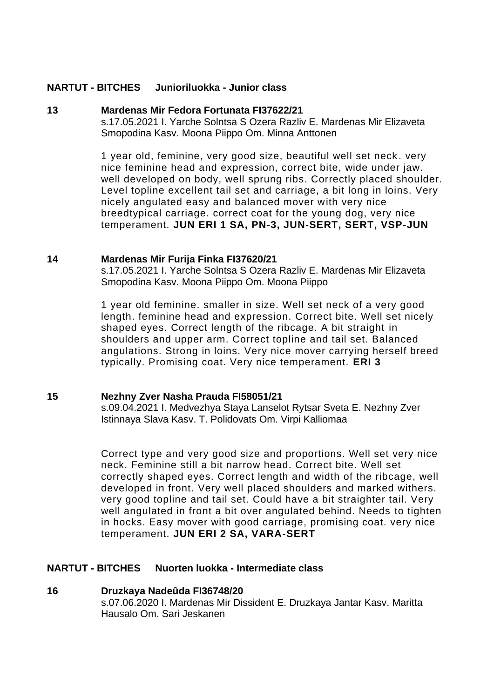### **NARTUT - BITCHES Junioriluokka - Junior class**

#### **13 Mardenas Mir Fedora Fortunata FI37622/21**

s.17.05.2021 I. Yarche Solntsa S Ozera Razliv E. Mardenas Mir Elizaveta Smopodina Kasv. Moona Piippo Om. Minna Anttonen

1 year old, feminine, very good size, beautiful well set neck . very nice feminine head and expression, correct bite, wide under jaw. well developed on body, well sprung ribs. Correctly placed shoulder. Level topline excellent tail set and carriage, a bit long in loins. Very nicely angulated easy and balanced mover with very nice breedtypical carriage. correct coat for the young dog, very nice temperament. **JUN ERI 1 SA, PN-3, JUN-SERT, SERT, VSP-JUN**

### **14 Mardenas Mir Furija Finka FI37620/21**

s.17.05.2021 I. Yarche Solntsa S Ozera Razliv E. Mardenas Mir Elizaveta Smopodina Kasv. Moona Piippo Om. Moona Piippo

1 year old feminine. smaller in size. Well set neck of a very good length. feminine head and expression. Correct bite. Well set nicely shaped eyes. Correct length of the ribcage. A bit straight in shoulders and upper arm. Correct topline and tail set. Balanced angulations. Strong in loins. Very nice mover carrying herself breed typically. Promising coat. Very nice temperament. **ERI 3**

### **15 Nezhny Zver Nasha Prauda FI58051/21**

s.09.04.2021 I. Medvezhya Staya Lanselot Rytsar Sveta E. Nezhny Zver Istinnaya Slava Kasv. T. Polidovats Om. Virpi Kalliomaa

Correct type and very good size and proportions. Well set very nice neck. Feminine still a bit narrow head. Correct bite. Well set correctly shaped eyes. Correct length and width of the ribcage, well developed in front. Very well placed shoulders and marked withers. very good topline and tail set. Could have a bit straighter tail. Very well angulated in front a bit over angulated behind. Needs to tighten in hocks. Easy mover with good carriage, promising coat. very nice temperament. **JUN ERI 2 SA, VARA-SERT**

### **NARTUT - BITCHES Nuorten luokka - Intermediate class**

#### **16 Druzkaya Nadeûda FI36748/20**

s.07.06.2020 I. Mardenas Mir Dissident E. Druzkaya Jantar Kasv. Maritta Hausalo Om. Sari Jeskanen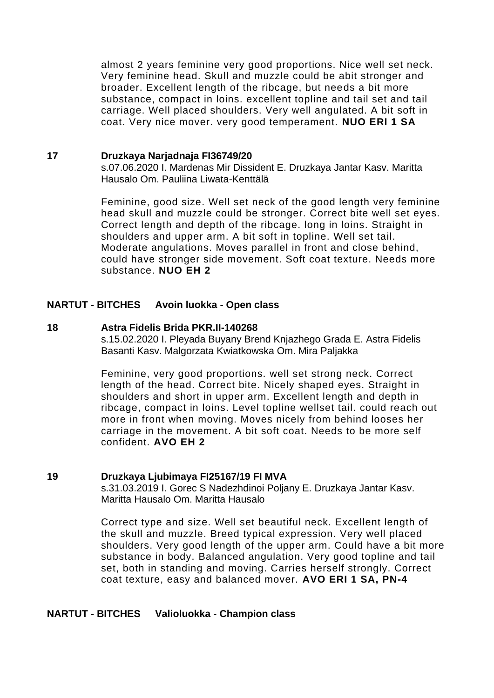almost 2 years feminine very good proportions. Nice well set neck. Very feminine head. Skull and muzzle could be abit stronger and broader. Excellent length of the ribcage, but needs a bit more substance, compact in loins. excellent topline and tail set and tail carriage. Well placed shoulders. Very well angulated. A bit soft in coat. Very nice mover. very good temperament. **NUO ERI 1 SA**

#### **17 Druzkaya Narjadnaja FI36749/20**

s.07.06.2020 I. Mardenas Mir Dissident E. Druzkaya Jantar Kasv. Maritta Hausalo Om. Pauliina Liwata-Kenttälä

Feminine, good size. Well set neck of the good length very feminine head skull and muzzle could be stronger. Correct bite well set eyes. Correct length and depth of the ribcage. long in loins. Straight in shoulders and upper arm. A bit soft in topline. Well set tail. Moderate angulations. Moves parallel in front and close behind, could have stronger side movement. Soft coat texture. Needs more substance. **NUO EH 2**

## **NARTUT - BITCHES Avoin luokka - Open class**

### **18 Astra Fidelis Brida PKR.II-140268**

s.15.02.2020 I. Pleyada Buyany Brend Knjazhego Grada E. Astra Fidelis Basanti Kasv. Malgorzata Kwiatkowska Om. Mira Paljakka

Feminine, very good proportions. well set strong neck. Correct length of the head. Correct bite. Nicely shaped eyes. Straight in shoulders and short in upper arm. Excellent length and depth in ribcage, compact in loins. Level topline wellset tail. could reach out more in front when moving. Moves nicely from behind looses her carriage in the movement. A bit soft coat. Needs to be more self confident. **AVO EH 2**

### **19 Druzkaya Ljubimaya FI25167/19 FI MVA**

s.31.03.2019 I. Gorec S Nadezhdinoi Poljany E. Druzkaya Jantar Kasv. Maritta Hausalo Om. Maritta Hausalo

Correct type and size. Well set beautiful neck. Excellent length of the skull and muzzle. Breed typical expression. Very well placed shoulders. Very good length of the upper arm. Could have a bit more substance in body. Balanced angulation. Very good topline and tail set, both in standing and moving. Carries herself strongly. Correct coat texture, easy and balanced mover. **AVO ERI 1 SA, PN-4**

### **NARTUT - BITCHES Valioluokka - Champion class**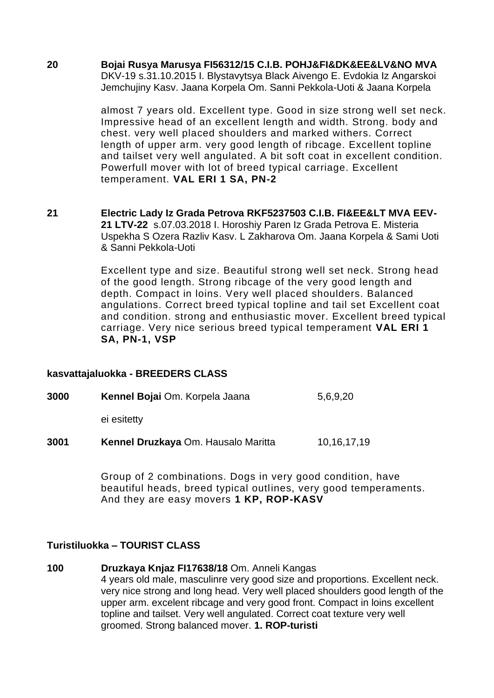**20 Bojai Rusya Marusya FI56312/15 C.I.B. POHJ&FI&DK&EE&LV&NO MVA** DKV-19 s.31.10.2015 I. Blystavytsya Black Aivengo E. Evdokia Iz Angarskoi Jemchujiny Kasv. Jaana Korpela Om. Sanni Pekkola-Uoti & Jaana Korpela

> almost 7 years old. Excellent type. Good in size strong well set neck. Impressive head of an excellent length and width. Strong. body and chest. very well placed shoulders and marked withers. Correct length of upper arm. very good length of ribcage. Excellent topline and tailset very well angulated. A bit soft coat in excellent condition. Powerfull mover with lot of breed typical carriage. Excellent temperament. **VAL ERI 1 SA, PN-2**

21 **Electric Lady Iz Grada Petrova RKF5237503 C.I.B. FI&EE&LT MVA EEV-21 LTV-22** s.07.03.2018 I. Horoshiy Paren Iz Grada Petrova E. Misteria Uspekha S Ozera Razliv Kasv. L Zakharova Om. Jaana Korpela & Sami Uoti & Sanni Pekkola-Uoti

> Excellent type and size. Beautiful strong well set neck. Strong head of the good length. Strong ribcage of the very good length and depth. Compact in loins. Very well placed shoulders. Balanced angulations. Correct breed typical topline and tail set Excellent coat and condition. strong and enthusiastic mover. Excellent breed typical carriage. Very nice serious breed typical temperament **VAL ERI 1 SA, PN-1, VSP**

### **kasvattajaluokka - BREEDERS CLASS**

**3000 Kennel Bojai** Om. Korpela Jaana 5,6,9,20 ei esitetty

**3001 Kennel Druzkaya Om. Hausalo Maritta** 10,16,17,19

Group of 2 combinations. Dogs in very good condition, have beautiful heads, breed typical outlines, very good temperaments. And they are easy movers **1 KP, ROP-KASV**

### **Turistiluokka – TOURIST CLASS**

**100 Druzkaya Knjaz FI17638/18** Om. Anneli Kangas 4 years old male, masculinre very good size and proportions. Excellent neck. very nice strong and long head. Very well placed shoulders good length of the upper arm. excelent ribcage and very good front. Compact in loins excellent topline and tailset. Very well angulated. Correct coat texture very well groomed. Strong balanced mover. **1. ROP-turisti**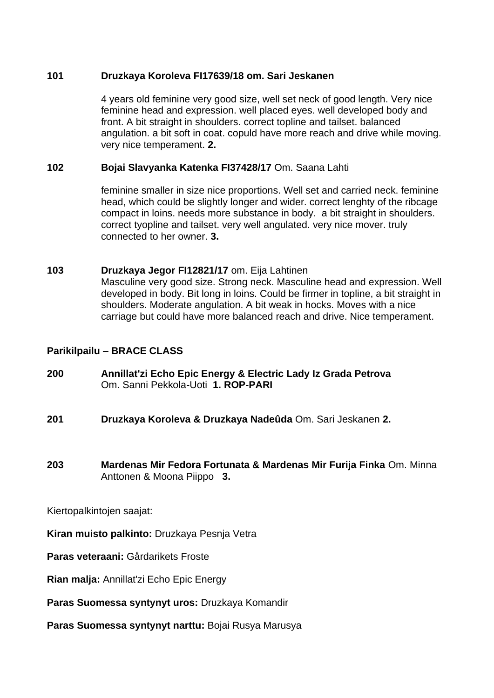## **101 Druzkaya Koroleva FI17639/18 om. Sari Jeskanen**

4 years old feminine very good size, well set neck of good length. Very nice feminine head and expression. well placed eyes. well developed body and front. A bit straight in shoulders. correct topline and tailset. balanced angulation. a bit soft in coat. copuld have more reach and drive while moving. very nice temperament. **2.**

## **102 Bojai Slavyanka Katenka FI37428/17** Om. Saana Lahti

feminine smaller in size nice proportions. Well set and carried neck. feminine head, which could be slightly longer and wider. correct lenghty of the ribcage compact in loins. needs more substance in body. a bit straight in shoulders. correct tyopline and tailset. very well angulated. very nice mover. truly connected to her owner. **3.**

## **103 Druzkaya Jegor FI12821/17** om. Eija Lahtinen Masculine very good size. Strong neck. Masculine head and expression. Well developed in body. Bit long in loins. Could be firmer in topline, a bit straight in shoulders. Moderate angulation. A bit weak in hocks. Moves with a nice carriage but could have more balanced reach and drive. Nice temperament.

# **Parikilpailu – BRACE CLASS**

- **200 Annillat'zi Echo Epic Energy & Electric Lady Iz Grada Petrova**  Om. Sanni Pekkola-Uoti **1. ROP-PARI**
- **201 Druzkaya Koroleva & Druzkaya Nadeûda** Om. Sari Jeskanen **2.**
- **203 Mardenas Mir Fedora Fortunata & Mardenas Mir Furija Finka** Om. Minna Anttonen & Moona Piippo **3.**

Kiertopalkintojen saajat:

**Kiran muisto palkinto:** Druzkaya Pesnja Vetra

- **Paras veteraani:** Gårdarikets Froste
- **Rian malja:** Annillat'zi Echo Epic Energy
- **Paras Suomessa syntynyt uros:** Druzkaya Komandir
- **Paras Suomessa syntynyt narttu:** Bojai Rusya Marusya